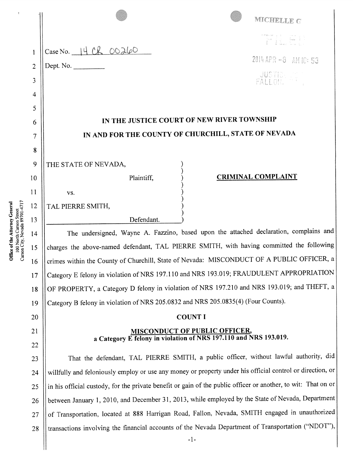|                | MICHELLE G                                                                                                                                                                        |  |  |  |
|----------------|-----------------------------------------------------------------------------------------------------------------------------------------------------------------------------------|--|--|--|
|                |                                                                                                                                                                                   |  |  |  |
| 1              | Case No. 14 CR OO260                                                                                                                                                              |  |  |  |
| $\overline{2}$ | 2014 APR -8 AM 10:53<br>Dept. No.                                                                                                                                                 |  |  |  |
| 3              | <b>JUSTIC</b>                                                                                                                                                                     |  |  |  |
| 4              |                                                                                                                                                                                   |  |  |  |
| 5              |                                                                                                                                                                                   |  |  |  |
| 6              | IN THE JUSTICE COURT OF NEW RIVER TOWNSHIP                                                                                                                                        |  |  |  |
| 7              | IN AND FOR THE COUNTY OF CHURCHILL, STATE OF NEVADA                                                                                                                               |  |  |  |
| 8              |                                                                                                                                                                                   |  |  |  |
| 9              | THE STATE OF NEVADA,                                                                                                                                                              |  |  |  |
| 10             | <b>CRIMINAL COMPLAINT</b><br>Plaintiff,                                                                                                                                           |  |  |  |
| 11             | VS.                                                                                                                                                                               |  |  |  |
| 12             | TAL PIERRE SMITH,                                                                                                                                                                 |  |  |  |
| 13             | Defendant.                                                                                                                                                                        |  |  |  |
| 14             | The undersigned, Wayne A. Fazzino, based upon the attached declaration, complains and<br>charges the above-named defendant, TAL PIERRE SMITH, with having committed the following |  |  |  |
| 15<br>16       | crimes within the County of Churchill, State of Nevada: MISCONDUCT OF A PUBLIC OFFICER, a                                                                                         |  |  |  |
| 17             | Category E felony in violation of NRS 197.110 and NRS 193.019; FRAUDULENT APPROPRIATION                                                                                           |  |  |  |
| 18             | OF PROPERTY, a Category D felony in violation of NRS 197.210 and NRS 193.019; and THEFT, a                                                                                        |  |  |  |
| 19             | Category B felony in violation of NRS 205.0832 and NRS 205.0835(4) (Four Counts).                                                                                                 |  |  |  |
| 20             | <b>COUNT I</b>                                                                                                                                                                    |  |  |  |
| 21             | <b>MISCONDUCT OF PUBLIC OFFICER,</b><br>a Category E felony in violation of NRS 197.110 and NRS 193.019.                                                                          |  |  |  |
| 22             |                                                                                                                                                                                   |  |  |  |
| 23             | That the defendant, TAL PIERRE SMITH, a public officer, without lawful authority, did                                                                                             |  |  |  |
| 24             | willfully and feloniously employ or use any money or property under his official control or direction, or                                                                         |  |  |  |
| 25             | in his official custody, for the private benefit or gain of the public officer or another, to wit: That on or                                                                     |  |  |  |
| 26             | between January 1, 2010, and December 31, 2013, while employed by the State of Nevada, Department                                                                                 |  |  |  |
| 27             | of Transportation, located at 888 Harrigan Road, Fallon, Nevada, SMITH engaged in unauthorized                                                                                    |  |  |  |
| 28             | transactions involving the financial accounts of the Nevada Department of Transportation ("NDOT"),                                                                                |  |  |  |
|                | $-1-$                                                                                                                                                                             |  |  |  |

**Office of the Attorney General**<br>100 North Carson Street<br>Carson City, Nevada 89701-4717

 $\hat{\mathbf{r}}$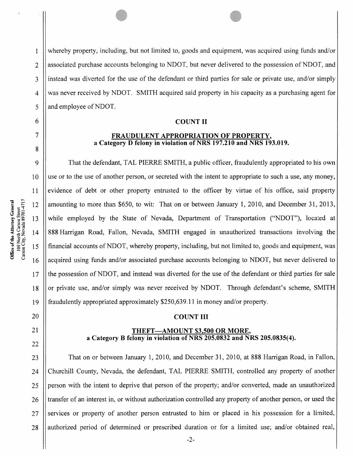1 whereby property, including, but not limited to, goods and equipment, was acquired using funds and/or 2 associated purchase accounts belonging to NDOT, but never delivered to the possession of NDOT, and 3 || instead was diverted for the use of the defendant or third parties for sale or private use, and/or simply 4 was never received by NDOT. SMITH acquired said property in his capacity as a purchasing agent for  $5$  || and employee of NDOT.

### 6 || COUNT II

### 7 || **FRAUDULENT APPROPRIATION OF PROPERTY,** <sup>a</sup> Category D felony in violation of NRS 197.210 and NRS 193.019.

 That the defendant, TAL PIERRE SMITH, <sup>a</sup> public officer, fraudulently appropriated to his own use or to the use of another person, or secreted with the intent to appropriate to such <sup>a</sup> use, any money, evidence of debt or other property entrusted to the officer by virtue of his office, said property 12 | amounting to more than \$650, to wit: That on or between January 1, 2010, and December 31, 2013, while employed by the State of Nevada, Department of Transportation ("NDOT"), located at 888 Harrigan Road, Fallon, Nevada, SMITH engaged in unauthorized transactions involving the financial accounts of NDOT, whereby property, including, but not limited to, goods and equipment, was acquired using funds and/or associated purchase accounts belonging to NDOT, but never delivered to 17 If the possession of NDOT, and instead was diverted for the use of the defendant or third parties for sale  $\parallel$  or private use, and/or simply was never received by NDOT. Through defendant's scheme, SMITH fraudulently appropriated approximately \$250,639.11 in money and/or property.

### 20 || COUNT III

### 21 || THEFT—AMOUNT \$3,500 OR MORE, <sup>a</sup> Category B felony in violation of NRS 205.0832 and NRS 205.0835(4).

23 | That on or between January 1, 2010, and December 31, 2010, at 888 Harrigan Road, in Fallon, 24 Churchill County, Nevada, the defendant, TAL PIERRE SMITH, controlled any property of another 25 person with the intent to deprive that person of the property; and/or converted, made an unauthorized 26 I transfer of an interest in, or without authorization controlled any property of another person, or used the 27 Services or property of another person entrusted to him or placed in his possession for a limited, 28 || authorized period of determined or prescribed duration or for a limited use; and/or obtained real,

8

22

-2-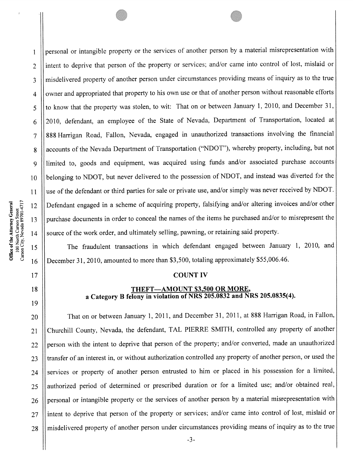19

1 | personal or intangible property or the services of another person by a material misrepresentation with 2 llintent to deprive that person of the property or services; and/or came into control of lost, mislaid or 3 misdelivered property of another person under circumstances providing means of inquiry as to the true 4 | owner and appropriated that property to his own use or that of another person without reasonable efforts 5 Ito know that the property was stolen, to wit: That on or between January 1, 2010, and December 31, 6 || 2010, defendant, an employee of the State of Nevada, Department of Transportation, located at <sup>7</sup> <sup>888</sup> Harrigan Road, Fallon, Nevada, engage<sup>d</sup> in unauthorized transactions involving the financial 8 | accounts of the Nevada Department of Transportation ("NDOT"), whereby property, including, but not 9 | limited to, goods and equipment, was acquired using funds and/or associated purchase accounts 10 || belonging to NDOT, but never delivered to the possession of NDOT, and instead was diverted for the 11 | use of the defendant or third parties for sale or private use, and/or simply was never received by NDOT. <sup>12</sup> Defendant engage<sup>d</sup> in <sup>a</sup> scheme of acquiring property, falsifying and/or altering invoices and/or other 13 | purchase documents in order to conceal the names of the items he purchased and/or to misrepresent the 14 || source of the work order, and ultimately selling, pawning, or retaining said property.

<sup>15</sup> The fraudulent transactions in which defendant engage<sup>d</sup> between January 1, 2010, and <sup>16</sup> December 31, 2010, amounted to more than \$3,500, totaling approximately \$55,006.46.

#### 17 || COUNT IV

### 18 **THEFT—AMOUNT \$3,500 OR MORE,** <sup>a</sup> Category <sup>B</sup> felony in violation of NRS 205.0832 and NRS 205.0835(4).

20 | That on or between January 1, 2011, and December 31, 2011, at 888 Harrigan Road, in Fallon, 21 Churchill County, Nevada, the defendant, TAL PIERRE SMITH, controlled any property of another 22 | person with the intent to deprive that person of the property; and/or converted, made an unauthorized 23 || transfer of an interest in, or without authorization controlled any property of another person, or used the 24 || services or property of another person entrusted to him or placed in his possession for a limited, 25 || authorized period of determined or prescribed duration or for a limited use; and/or obtained real, 26 | personal or intangible property or the services of another person by a material misrepresentation with 27 ||intent to deprive that person of the property or services; and/or came into control of lost, mislaid or 28 || misdelivered property of another person under circumstances providing means of inquiry as to the true

 $\parallel$  -3-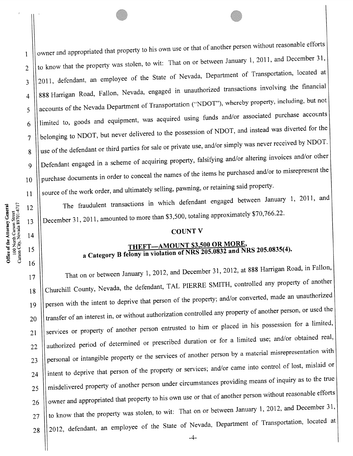I | | owner and appropriated that property to his own use or that of another person without reasonable efforts 2  $\parallel$  to know that the property was stolen, to wit: That on or between January 1, 2011, and December 31, 3 2011, defendant, an employee of the State of Nevada, Department of Transportation, located at 4 | 888 Harrigan Road, Fallon, Nevada, engaged in unauthorized transactions involving the financial 5 || accounts of the Nevada Department of Transportation ("NDOT"), whereby property, including, but not  $6$  || limited to, goods and equipment, was acquired using funds and/or associated purchase accounts 7 | belonging to NDOT, but never delivered to the possession of NDOT, and instead was diverted for the 8 use of the defendant or third parties for sale or private use, and/or simply was never received by NDOT. 9 | Defendant engaged in a scheme of acquiring property, falsifying and/or altering invoices and/or other  $10$  | purchase documents in order to conceal the names of the items he purchased and/or to misrepresent the  $11$   $\parallel$  source of the work order, and ultimately selling, pawning, or retaining said property.

12 | The fraudulent transactions in which defendant engaged between January 1, 2011, and 13  $\parallel$  December 31, 2011, amounted to more than \$3,500, totaling approximately \$70,766.22.

# $\begin{array}{c|c}\n 14 & \text{COUNT V}\n \end{array}$

## $\text{THEFT}$   $\longrightarrow$   $\text{MONT 83,500 OR MORE}$ , a Category B felony in violation of NRS 205.0832 and NRS 205.0835(4).

17 | That on or between January 1, 2012, and December 31, 2012, at 888 Harrigan Road, in Fallon, 18 Churchill County, Nevada, the defendant, TAL PIERRE SMITH, controlled any property of another 19 | person with the intent to deprive that person of the property; and/or converted, made an unauthorized 20 || transfer of an interest in, or without authorization controlled any property of another person, or used the 21 | services or property of another person entrusted to him or placed in his possession for a limited, 22 || authorized period of determined or prescribed duration or for a limited use; and/or obtained real, 23  $\parallel$  personal or intangible property or the services of another person by a material misrepresentation with 24 | intent to deprive that person of the property or services; and/or came into control of lost, mislaid or 25 || misdelivered property of another person under circumstances providing means of inquiry as to the true 26 | owner and appropriated that property to his own use or that of another person without reasonable efforts 27  $\parallel$  to know that the property was stolen, to wit: That on or between January 1, 2012, and December 31, 28 | 2012, defendant, an employee of the State of Nevada, Department of Transportation, located at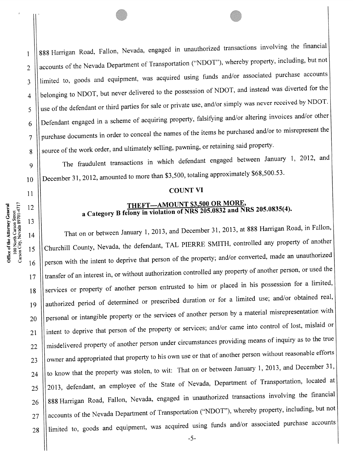$\frac{1}{1}$  888 Harrigan Road, Fallon, Nevada, engaged in unauthorized transactions involving the financial 2 | accounts of the Nevada Department of Transportation ("NDOT"), whereby property, including, but not 3 | limited to, goods and equipment, was acquired using funds and/or associated purchase accounts 4 | belonging to NDOT, but never delivered to the possession of NDOT, and instead was diverted for the  $5$  || use of the defendant or third parties for sale or private use, and/or simply was never received by NDOT.  $6$  | Defendant engaged in a scheme of acquiring property, falsifying and/or altering invoices and/or other 7 | purchase documents in order to conceal the names of the items he purchased and/or to misrepresent the 8 Source of the work order, and ultimately selling, pawning, or retaining said property.

9 | The fraudulent transactions in which defendant engaged between January 1, 2012, and 10 | December 31, 2012, amounted to more than \$3,500, totaling approximately \$68,500.53.

# 11 || COUNT VI

### $\text{THEFT—AMOUNT $3,500 \text{ OR MORE},}$ a Category B felony in violation of NRS 205.0832 and NRS 205.0835(4).

14 | That on or between January 1, 2013, and December 31, 2013, at 888 Harrigan Road, in Fallon, 15 Churchill County, Nevada, the defendant, TAL PIERRE SMITH, controlled any property of another 16 | person with the intent to deprive that person of the property; and/or converted, made an unauthorized 17 || transfer of an interest in, or without authorization controlled any property of another person, or used the 18 Services or property of another person entrusted to him or placed in his possession for a limited, 19 | authorized period of determined or prescribed duration or for a limited use; and/or obtained real, 20  $\parallel$  personal or intangible property or the services of another person by a material misrepresentation with 21 | intent to deprive that person of the property or services; and/or came into control of lost, mislaid or 22 | misdelivered property of another person under circumstances providing means of inquiry as to the true 23  $\parallel$  owner and appropriated that property to his own use or that of another person without reasonable efforts 24  $\parallel$  to know that the property was stolen, to wit: That on or between January 1, 2013, and December 31, 25 || 2013, defendant, an employee of the State of Nevada, Department of Transportation, located at 26 | 888 Harrigan Road, Fallon, Nevada, engaged in unauthorized transactions involving the financial 27 || accounts of the Nevada Department of Transportation ("NDOT"), whereby property, including, but not 28 | limited to, goods and equipment, was acquired using funds and/or associated purchase accounts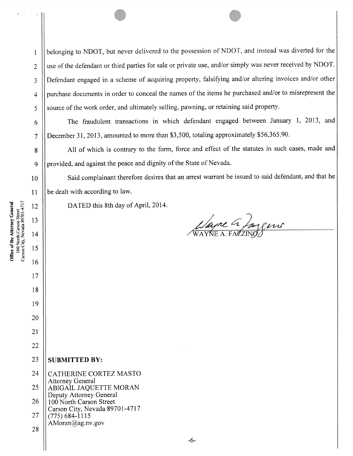<sup>I</sup> belonging to NDOT. but never delivered to the possession of NDOT, and instead was diverted for the 2 || use of the defendant or third parties for sale or private use, and/or simply was never received by NDOT. <sup>3</sup> Defendant engage<sup>d</sup> in <sup>a</sup> scheme of acquiring property, falsifying and/or altering invoices and/or other 4 | purchase documents in order to conceal the names of the items he purchased and/or to misrepresent the  $\lesssim$   $\frac{1}{2}$  source of the work order, and ultimately selling, pawning, or retaining said property.

<sup>6</sup> The fraudulent transactions in which defendant engage<sup>d</sup> between January 1, 2013, and <sup>7</sup> December 31, 2013, amounted to more than \$3,500, totaling approximately \$56,365.90.

8 || All of which is contrary to the form, force and effect of the statutes in such cases, made and 9 | provided, and against the peace and dignity of the State of Nevada.

10 | Said complainant therefore desires that an arrest warrant be issued to said defendant, and that he 11 | be dealt with according to law.

12 | DATED this 8th day of April, 2014.

11 Maine a Jugens

**Office of the Attorney General**<br>100 North Carson Street<br>Carson City, Nevada 89701-4717

13

15

16

17

18

## 19 20 21 22  $23$  SUBMITTED BY: 24 CATHERINE CORTEZ MASTO Attorney General 25 ABIGAIL JAQUETTE MORAN Deputy Attorney General  $26$  | 100 North Carson Street Carson City, Nevada 89701-4717 27  $\|(775)684-1115$  $AMoran@ag.nv.gov$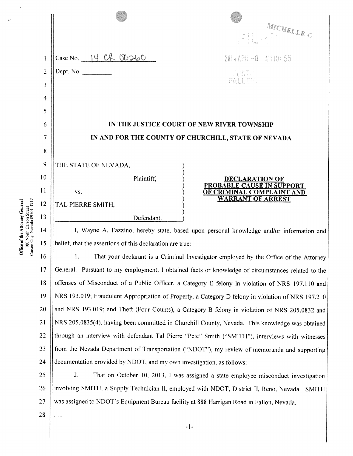|                                                     |            | MICHELLE G                                             |  |
|-----------------------------------------------------|------------|--------------------------------------------------------|--|
| Case No. $14$ CR $00260$                            |            | 2014 APR -8 AM 10: 55                                  |  |
| Dept. No.                                           |            | SUSTRE                                                 |  |
|                                                     |            |                                                        |  |
|                                                     |            |                                                        |  |
|                                                     |            |                                                        |  |
| IN THE JUSTICE COURT OF NEW RIVER TOWNSHIP          |            |                                                        |  |
| IN AND FOR THE COUNTY OF CHURCHILL, STATE OF NEVADA |            |                                                        |  |
|                                                     |            |                                                        |  |
|                                                     |            |                                                        |  |
| THE STATE OF NEVADA,                                |            |                                                        |  |
|                                                     | Plaintiff, | <b>DECLARATION OF</b>                                  |  |
| VS.                                                 |            | PROBABLE CAUSE IN SUPPORT<br>OF CRIMINAL COMPLAINT AND |  |
| TAL PIERRE SMITH,                                   |            | <b>WARRANT OF ARREST</b>                               |  |

14 | I, Wayne A. Fazzino, hereby state, based upon personal knowledge and/or information and 15 | belief, that the assertions of this declaration are true:

16 | 1. That your declarant is a Criminal Investigator employed by the Office of the Attorney 17 || General. Pursuant to my employment, I obtained facts or knowledge of circumstances related to the 18 || offenses of Misconduct of a Public Officer, a Category E felony in violation of NRS 197.110 and <sup>19</sup> NRS 193.019; Fraudulent Appropriation of Property, <sup>a</sup> Category <sup>D</sup> felony in violation of NRS 197.210 20 || and NRS 193.019; and Theft (Four Counts), a Category B felony in violation of NRS 205.0832 and <sup>21</sup> NRS 205.0835(4), having been committed in Churchill County. Nevada. This knowledge was obtained 22 || through an interview with defendant Tal Pierre "Pete" Smith ("SMITH"), interviews with witnesses 23 || from the Nevada Department of Transportation ("NDOT"), my review of memoranda and supporting 24  $\parallel$  documentation provided by NDOT, and my own investigation, as follows:

25 | 2. That on October 10, 2013, I was assigned a state employee misconduct investigation 26 || involving SMITH, a Supply Technician II, employed with NDOT, District II, Reno, Nevada. SMITH 27 | was assigned to NDOT's Equipment Bureau facility at 888 Harrigan Road in Fallon, Nevada.

28

 $\epsilon$  ,  $\epsilon$ 

ة a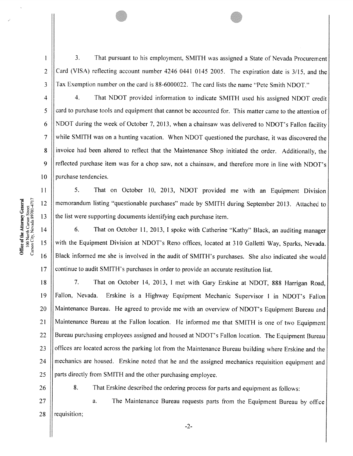3. That pursuant to his employment. SMITH was assigned <sup>a</sup> State of Nevada Procurement  $2$  Card (VISA) reflecting account number 4246 0441 0145 2005. The expiration date is 3/15, and the 3 Tax Exemption number on the card is 88-6000022. The card lists the name "Pete Smith NDOT."

4 | 4. That NDOT provided information to indicate SMITH used his assigned NDOT credit 5 card to purchase tools and equipment that cannot be accounted for. This matter came to the attention of 6 | NDOT during the week of October 7, 2013, when a chainsaw was delivered to NDOT's Fallon facility <sup>7</sup> while SMITH was on <sup>a</sup> hunting vacation. When NDOT questioned the purchase, it was discovered the 8 || invoice had been altered to reflect that the Maintenance Shop initiated the order. Additionally, the 9 || reflected purchase item was for a chop saw, not a chainsaw, and therefore more in line with NDOT's  $10$  | purchase tendencies.

11 | 5. That on October 10, 2013, NDOT provided me with an Equipment Division <sup>12</sup> memorandum listing "questionable purchases" made by SMITH during September 2013. Attached to 13  $\parallel$  the list were supporting documents identifying each purchase item.

14 | 6. That on October 11, 2013, I spoke with Catherine "Kathy" Black, an auditing manager 15 || with the Equipment Division at NDOT's Reno offices, located at 310 Galletti Way, Sparks, Nevada. <sup>16</sup> Black informed me she is involved in the audit of SMITH's purchases. She also indicated she would 17 continue to audit SMITH's purchases in order to provide an accurate restitution list.

18 | 7. That on October 14, 2013, I met with Gary Erskine at NDOT, 888 Harrigan Road, <sup>19</sup> Fallon, Nevada. Erskine is <sup>a</sup> Highway Equipment Mechanic Supervisor <sup>I</sup> in NDOT's Fallon <sup>20</sup> Maintenance Bureau. He agreed to provide me with an overview of NDOT's Equipment Bureau and <sup>21</sup> Maintenance Bureau at the Fallon location. He informed me that SMITH is one of two Equipment 22 | Bureau purchasing employees assigned and housed at NDOT's Fallon location. The Equipment Bureau 23 | offices are located across the parking lot from the Maintenance Bureau building where Erskine and the 24 || mechanics are housed. Erskine noted that he and the assigned mechanics requisition equipment and 25 | parts directly from SMITH and the other purchasing employee.

26 | 8. That Erskine described the ordering process for parts and equipment as follows:

27 || a. The Maintenance Bureau requests parts from the Equipment Bureau by office 28  $\parallel$  requisition;

**Office of the Attorney General**<br>100 North Carson Street<br>Carson City, Nevada 89701-4717

 $\mathbf{I}$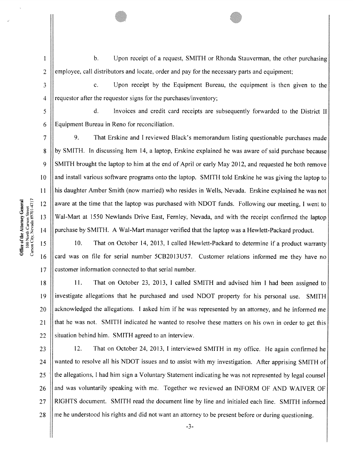$\mathbf{1}$ 

b. Upon receipt of <sup>a</sup> request. SMITH or Rhonda Stauverman. the other purchasing  $2 \parallel$  employee, call distributors and locate, order and pay for the necessary parts and equipment;

3 **c.** Upon receipt by the Equipment Bureau, the equipment is then given to the  $4$  | requestor after the requestor signs for the purchases/inventory:

5 d. Invoices and credit card receipts are subsequently forwarded to the District II 6 Equipment Bureau in Reno for reconciliation.

<sup>7</sup> 9. That Erskine and <sup>I</sup> reviewed Black's memorandum listing questionable purchases made 8 by SMITH. In discussing Item 14, a laptop, Erskine explained he was aware of said purchase because 9 SMITH brought the laptop to him at the end of April or early May 2012, and requested he both remove <sup>10</sup> and install various software programs onto the laptop. SMITH told Erskine he was <sup>g</sup>iving the laptop to II his daughter Amber Smith (now married) who resides in Wells, Nevada. Erskine explained he was not 12 aware at the time that the laptop was purchased with NDOT funds. Following our meeting, I went to 13 Wal-Mart at 1550 Newlands Drive East, Fernley, Nevada, and with the receipt confirmed the laptop 14 Durchase by SMITH. A Wal-Mart manager verified that the laptop was a Hewlett-Packard product.

<sup>15</sup> 10. That on October 14, 2013, <sup>I</sup> called Hewlett-Packard to determine if <sup>a</sup> product warranty 16 card was on file for serial number 5CB2013U57. Customer relations informed me they have no 17 | customer information connected to that serial number.

<sup>18</sup> 11. That on October 23, 2013, <sup>1</sup> called SMITH and advised him <sup>I</sup> had been assigned to 19 | investigate allegations that he purchased and used NDOT property for his personal use. SMITH  $20$  || acknowledged the allegations. I asked him if he was represented by an attorney, and he informed me 21 || that he was not. SMITH indicated he wanted to resolve these matters on his own in order to get this  $22$  || situation behind him. SMITH agreed to an interview.

23 | 12. That on October 24, 2013, I interviewed SMITH in my office. He again confirmed he 24 Wanted to resolve all his NDOT issues and to assist with my investigation. After apprising SMITH of  $25$   $\parallel$  the allegations, I had him sign a Voluntary Statement indicating he was not represented by legal counsel 26 and was voluntarily speaking with me. Together we reviewed an INFORM OF AND WAIVER OF 27 RIGHTS document. SMITH read the document line by line and initialed each line. SMITH informed  $28$  || me he understood his rights and did not want an attorney to be present before or during questioning.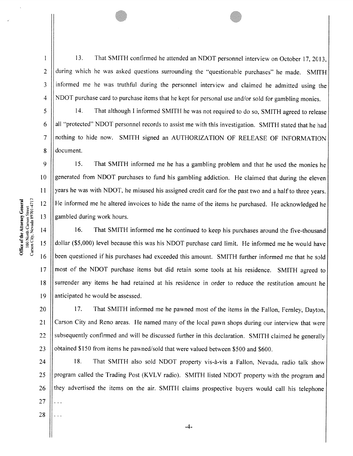$\mathbf{1}$ 

13. That SMITH confirmed he attended an NDOT personne<sup>l</sup> interview on October 17, 2013, 2 during which he was asked questions surrounding the "questionable purchases" he made. SMITH 3 ||informed me he was truthful during the personnel interview and claimed he admitted using the 4 NDOT purchase card to purchase items that he kept for personal use and/or sold for gambling monies.

5 | 14. That although I informed SMITH he was not required to do so, SMITH agreed to release 6 | all "protected" NDOT personnel records to assist me with this investigation. SMITH stated that he had 7 || nothing to hide now. SMITH signed an AUTHORIZATION OF RELEASE OF INFORMATION 8 document.

9 15. That SMITH informed me he has <sup>a</sup> gambling problem and that he used the monies he 10 || generated from NDOT purchases to fund his gambling addiction. He claimed that during the eleven Il years he was with NDOT, he misused his assigned credit card for the pas<sup>t</sup> two and <sup>a</sup> half to three years. <sup>12</sup> He informed me he altered invoices to hide the name of the items he purchased. He acknowledged he 13 Sambled during work hours.

14 | 16. That SMITH informed me he continued to keep his purchases around the five-thousand <sup>15</sup> dollar (\$5,000) level because this was his NDOT purchase card limit. He informed me he would have For 12 and 16 been questioned if his purchases had exceeded this amount. SMITH further informed me that he sold of the sold paramole of the items he purchased. He acknowledged heron and the solution of the solution of the 17 || most of the NDOT purchase items but did retain some tools at his residence. SMITH agreed to 18 Surrender any items he had retained at his residence in order to reduce the restitution amount he 19  $\parallel$  anticipated he would be assessed.

20 | 17. That SMITH informed me he pawned most of the items in the Fallon, Fernley, Dayton, 21 || Carson City and Reno areas. He named many of the local pawn shops during our interview that were 22 || subsequently confirmed and will be discussed further in this declaration. SMITH claimed he generally 23  $\parallel$  obtained \$150 from items he pawned/sold that were valued between \$500 and \$600.

24 | 18. That SMITH also sold NDOT property vis-à-vis a Fallon, Nevada, radio talk show 25 || program called the Trading Post (KVLV radio). SMITH listed NDOT property with the program and 26 || they advertised the items on the air. SMITH claims prospective buyers would call his telephone 27 . . . 28 . . .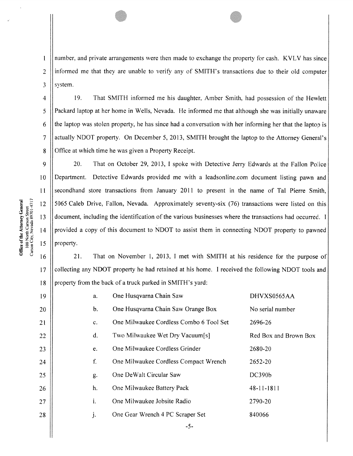I number, and private arrangements were then made to exchange the property for cash. KVLV has since  $2$  ||informed me that they are unable to verify any of SMITH's transactions due to their old computer  $3$  || system.

<sup>4</sup> 19. That SMITH informed me his daughter. Amber Smith. had possession of the Hewlett 5 Packard laptop at her home in Wells, Nevada. He informed me that although she was initially unaware  $6$  || the laptop was stolen property, he has since had a conversation with her informing her that the laptop is 7 || actually NDOT property. On December 5, 2013, SMITH brought the laptop to the Attorney General's 8 | Office at which time he was given a Property Receipt.

 20. That on October 29, 2013, 1 spoke with Detective Jerry Edwards at the Fallon Police Department. Detective Edwards provided me with <sup>a</sup> leadsonline.com document listing pawn and 11 Secondhand store transactions from January 2011 to present in the name of Tal Pierre Smith, 5065 Caleb Drive, Fallon, Nevada. Approximately seventy-six (76) transactions were listed on this document, including the identification of the various businesses where the transactions had occurred. I 14 provided a copy of this document to NDOT to assist them in connecting NDOT property to pawned || property.

16 21. That on November 1, 2013, 1 met with SMITH at his residence for the purpose of 17 collecting any NDOT property he had retained at his home. I received the following NDOT tools and  $\lvert \mathbf{18} \rvert \rvert$  property from the back of a truck parked in SMITH's yard:

| 19  | a.             | One Husqvarna Chain Saw                 | DHVXS0565AA           |
|-----|----------------|-----------------------------------------|-----------------------|
| 20  | b.             | One Husqvarna Chain Saw Orange Box      | No serial number      |
| 21  | C <sub>x</sub> | One Milwaukee Cordless Combo 6 Tool Set | 2696-26               |
| 22  | $d_{\star}$    | Two Milwaukee Wet Dry Vacuum[s]         | Red Box and Brown Box |
| 23  | e.             | One Milwaukee Cordless Grinder          | 2680-20               |
| 24  | f.             | One Milwaukee Cordless Compact Wrench   | 2652-20               |
| 25. | g.             | One DeWalt Circular Saw                 | DC390 <sub>b</sub>    |
| 26  | h.             | One Milwaukee Battery Pack              | $48 - 11 - 1811$      |
| 27  | i.             | One Milwaukee Jobsite Radio             | 2790-20               |
| 28  | j.             | One Gear Wrench 4 PC Scraper Set        | 840066                |
|     |                |                                         |                       |

-5-

**Office of the Attorney General**<br>100 North Carson Street<br>Carson City, Nevada 89701-4717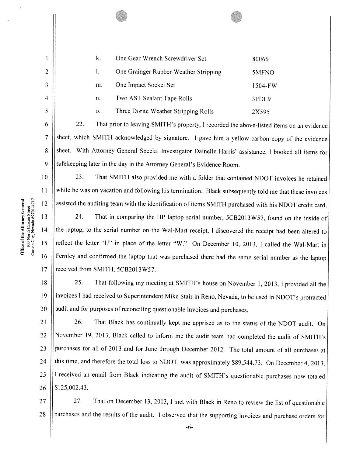k. One Gear Wrench Screwdriver Set 80066 2 | 1. One Grainger Rubber Weather Stripping 5MFNO 3 || m. One Impact Socket Set 1504-FW 4 n. Two AST Sealant Tape Rolls 3PDL9 <sup>5</sup> o. Three Dorite Weather Stripping Rolls 2X595

6 | 22. That prior to leaving SMITH's property, I recorded the above-listed items on an evidence  $7$  Sheet, which SMITH acknowledged by signature. I gave him a yellow carbon copy of the evidence 8 Sheet. With Attorney General Special Investigator Dainelle Harris' assistance, I booked all items for 9 || safekeeping later in the day in the Attorney General's Evidence Room.

10 10 23. That SMITH also provided me with a folder that contained NDOT invoices he retained <sup>11</sup> while he was on vacation and following his termination. Black subsequently told me that these invoices 12 | assisted the auditing team with the identification of items SMITH purchased with his NDOT credit card.

13 | 24. That in comparing the HP laptop serial number, 5CB2013W57, found on the inside of 14 | the laptop, to the serial number on the Wal-Mart receipt, I discovered the receipt had been altered to 15 || reflect the letter "U" in place of the letter "W," On December 10, 2013, I called the Wal-Mart in 16 | Fernley and confirmed the laptop that was purchased there had the same serial number as the laptop 17 || received from SMITH, 5CB2013W57.

18 | 25. That following my meeting at SMITH's house on November 1, 2013, I provided all the <sup>19</sup> invoices <sup>I</sup> had received to Superintendent Mike Stair in Reno, Nevada, to be used in NDOT's protracted  $20$  || audit and for purposes of reconciling questionable invoices and purchases.

21 | 26. That Black has continually kept me apprised as to the status of the NDOT audit. On <sup>22</sup> November 19, 2013. Black called to inform me the audit team had completed the audit of SMITH's 23 | purchases for all of 2013 and for June through December 2012. The total amount of all purchases at 24 | this time, and therefore the total loss to NDOT, was approximately \$89,544.73. On December 4, 2013, 25  $\vert\vert$  I received an email from Black indicating the audit of SMITH's questionable purchases now totaled 26 \$125,002.43.

27 | 27. That on December 13, 2013, I met with Black in Reno to review the list of questionable 28 | purchases and the results of the audit. I observed that the supporting invoices and purchase orders for

**Office of the Attorney General**<br>100 North Carson Street<br>Carson City, Nevada 89701-4717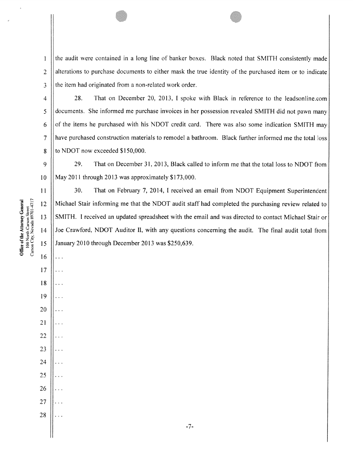$\frac{1}{1}$  the audit were contained in a long line of banker boxes. Black noted that SMITH consistently made 2 all alterations to purchase documents to either mask the true identity of the purchased item or to indicate  $3$  || the item had originated from a non-related work order.

 28. That on December 20, 2013. 1 spoke with Black in reference to the leadsonline.com documents. She informed me purchase invoices in her possession revealed SMITH did not pawn many  $\parallel$  of the items he purchased with his NDOT credit card. There was also some indication SMITH may have purchased construction materials to remodel <sup>a</sup> bathroom. Black further informed me the total loss  $\vert$  to NDOT now exceeded \$150,000.

9 29. That on December 31, 2013, Black called to inform me that the total loss to NDOT from 10 May 2011 through 2013 was approximately \$173,000.

11 | 30. That on February 7, 2014, I received an email from NDOT Equipment Superintendent 12 Michael Stair informing me that the NDOT audit staff had completed the purchasing review related to 13 SMITH. I received an updated spreadsheet with the email and was directed to contact Michael Stair or 14 || Joe Crawford, NDOT Auditor II, with any questions concerning the audit. The final audit total from 15 January 2010 through December 2013 was \$250,639.

16

 $\ddotsc$ 

. . .

. . .

 $\cdots$ 

. . .

. . .

. . .

. . .

. . .

. . .

. . .

. . .

17

18

19

20

21

22

23

24

25

26

27